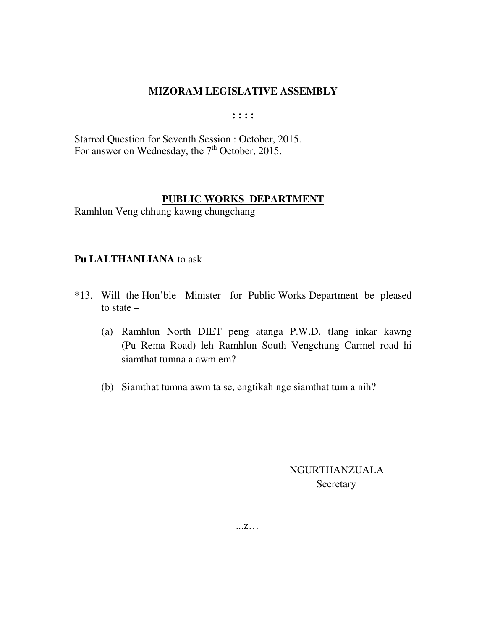**: : : :** 

Starred Question for Seventh Session : October, 2015. For answer on Wednesday, the 7<sup>th</sup> October, 2015.

## **PUBLIC WORKS DEPARTMENT**

Ramhlun Veng chhung kawng chungchang

## **Pu LALTHANLIANA** to ask –

- \*13. Will the Hon'ble Minister for Public Works Department be pleased to state –
	- (a) Ramhlun North DIET peng atanga P.W.D. tlang inkar kawng (Pu Rema Road) leh Ramhlun South Vengchung Carmel road hi siamthat tumna a awm em?
	- (b) Siamthat tumna awm ta se, engtikah nge siamthat tum a nih?

 NGURTHANZUALA **Secretary** 

...z…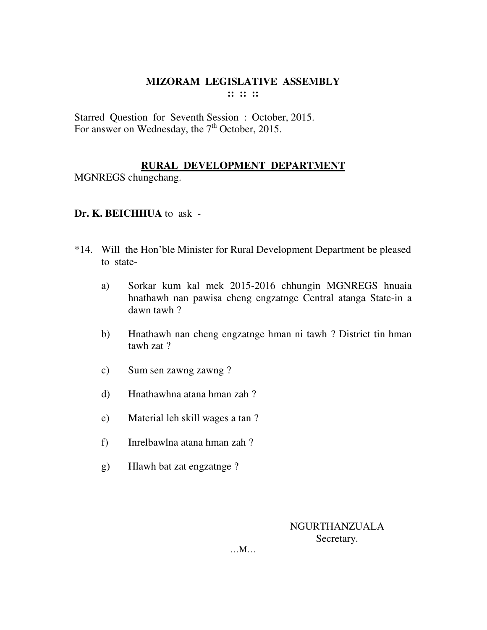Starred Question for Seventh Session : October, 2015. For answer on Wednesday, the 7<sup>th</sup> October, 2015.

## **RURAL DEVELOPMENT DEPARTMENT**

MGNREGS chungchang.

## **Dr. K. BEICHHUA** to ask -

- \*14. Will the Hon'ble Minister for Rural Development Department be pleased to state
	- a) Sorkar kum kal mek 2015-2016 chhungin MGNREGS hnuaia hnathawh nan pawisa cheng engzatnge Central atanga State-in a dawn tawh ?
	- b) Hnathawh nan cheng engzatnge hman ni tawh ? District tin hman tawh zat ?
	- c) Sum sen zawng zawng ?
	- d) Hnathawhna atana hman zah ?
	- e) Material leh skill wages a tan ?
	- f) Inrelbawlna atana hman zah ?
	- g) Hlawh bat zat engzatnge ?

NGURTHANZUALA Secretary.

…M…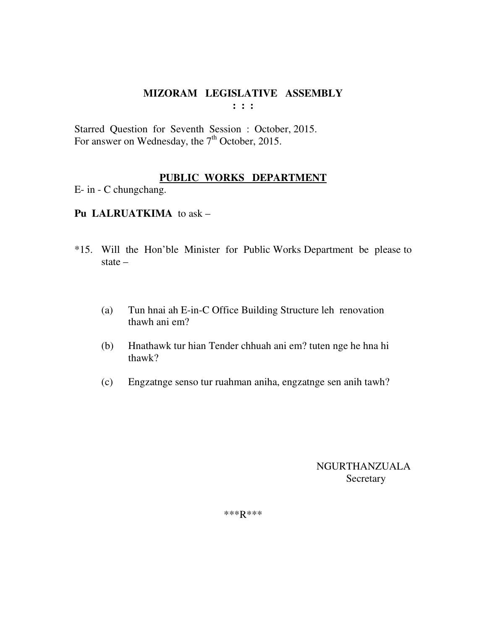Starred Question for Seventh Session : October, 2015. For answer on Wednesday, the  $7<sup>th</sup>$  October, 2015.

## **PUBLIC WORKS DEPARTMENT**

E- in - C chungchang.

## **Pu LALRUATKIMA** to ask –

- \*15. Will the Hon'ble Minister for Public Works Department be please to state –
	- (a) Tun hnai ah E-in-C Office Building Structure leh renovation thawh ani em?
	- (b) Hnathawk tur hian Tender chhuah ani em? tuten nge he hna hi thawk?
	- (c) Engzatnge senso tur ruahman aniha, engzatnge sen anih tawh?

 NGURTHANZUALA Secretary

\*\*\*R\*\*\*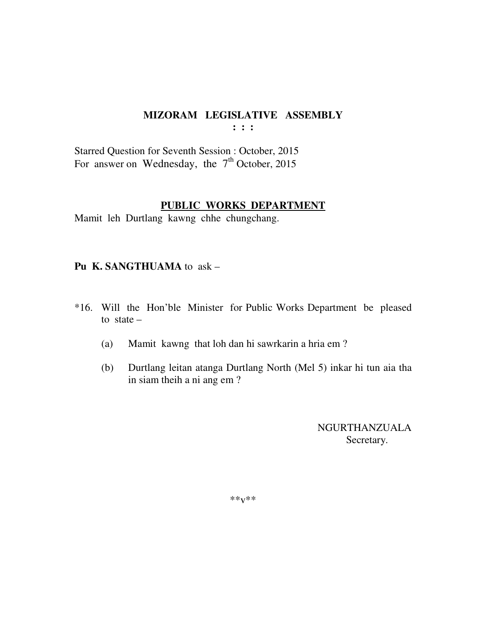**: : :** 

Starred Question for Seventh Session : October, 2015 For answer on Wednesday, the  $7<sup>th</sup>$  October, 2015

#### **PUBLIC WORKS DEPARTMENT**

Mamit leh Durtlang kawng chhe chungchang.

## **Pu K. SANGTHUAMA** to ask –

- \*16. Will the Hon'ble Minister for Public Works Department be pleased to state  $-$ 
	- (a) Mamit kawng that loh dan hi sawrkarin a hria em ?
	- (b) Durtlang leitan atanga Durtlang North (Mel 5) inkar hi tun aia tha in siam theih a ni ang em ?

 NGURTHANZUALA Secretary.

\*\*v\*\*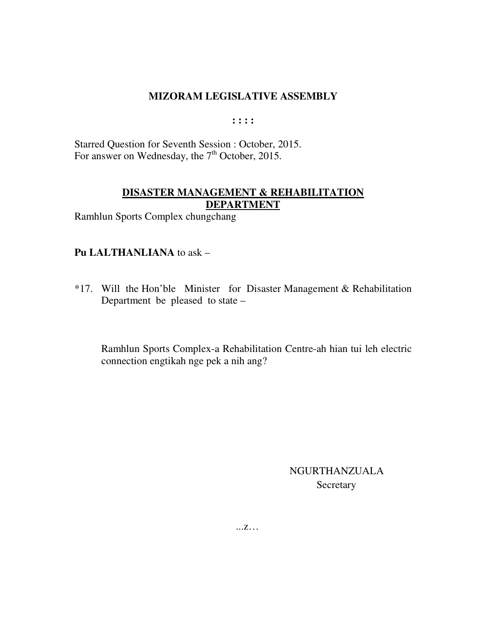$: : : :$ 

Starred Question for Seventh Session : October, 2015. For answer on Wednesday, the 7<sup>th</sup> October, 2015.

## **DISASTER MANAGEMENT & REHABILITATION DEPARTMENT**

Ramhlun Sports Complex chungchang

## Pu LALTHANLIANA to ask -

\*17. Will the Hon'ble Minister for Disaster Management & Rehabilitation Department be pleased to state -

Ramhlun Sports Complex-a Rehabilitation Centre-ah hian tui leh electric connection engtikah nge pek a nih ang?

> **NGURTHANZUALA** Secretary

 $\ldots Z$ ...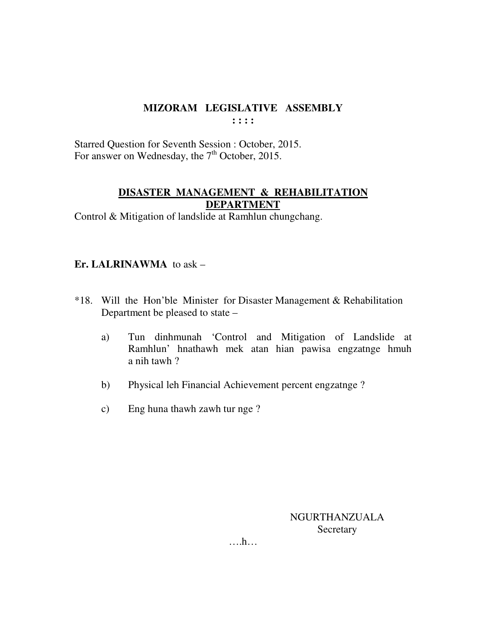Starred Question for Seventh Session : October, 2015. For answer on Wednesday, the 7<sup>th</sup> October, 2015.

## **DISASTER MANAGEMENT & REHABILITATION DEPARTMENT**

Control & Mitigation of landslide at Ramhlun chungchang.

## **Er. LALRINAWMA** to ask –

- \*18. Will the Hon'ble Minister for Disaster Management & Rehabilitation Department be pleased to state –
	- a) Tun dinhmunah 'Control and Mitigation of Landslide at Ramhlun' hnathawh mek atan hian pawisa engzatnge hmuh a nih tawh ?
	- b) Physical leh Financial Achievement percent engzatnge ?
	- c) Eng huna thawh zawh tur nge ?

NGURTHANZUALA **Secretary** 

….h…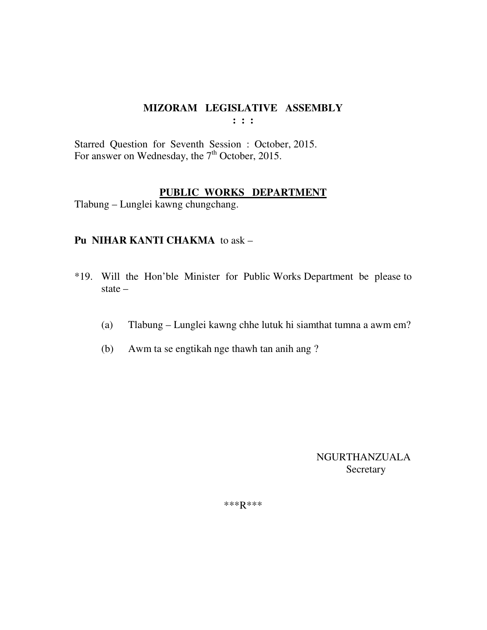**: : :** 

Starred Question for Seventh Session : October, 2015. For answer on Wednesday, the 7<sup>th</sup> October, 2015.

## **PUBLIC WORKS DEPARTMENT**

Tlabung – Lunglei kawng chungchang.

## **Pu NIHAR KANTI CHAKMA** to ask –

- \*19. Will the Hon'ble Minister for Public Works Department be please to state –
	- (a) Tlabung Lunglei kawng chhe lutuk hi siamthat tumna a awm em?
	- (b) Awm ta se engtikah nge thawh tan anih ang ?

 NGURTHANZUALA Secretary

\*\*\*R\*\*\*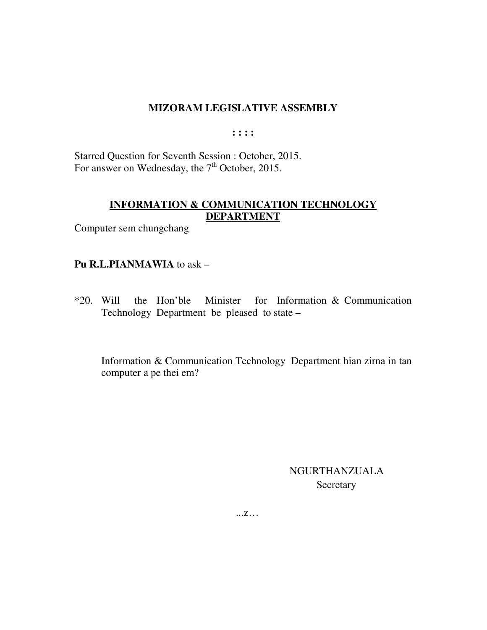$: : : :$ 

Starred Question for Seventh Session : October, 2015. For answer on Wednesday, the 7<sup>th</sup> October, 2015.

## INFORMATION & COMMUNICATION TECHNOLOGY **DEPARTMENT**

Computer sem chungchang

## Pu R.L.PIANMAWIA to ask -

 $*20.$  Will the Hon'ble Minister for Information  $&$  Communication Technology Department be pleased to state –

Information & Communication Technology Department hian zirna in tan computer a pe thei em?

> **NGURTHANZUALA** Secretary

 $\dots Z \dots$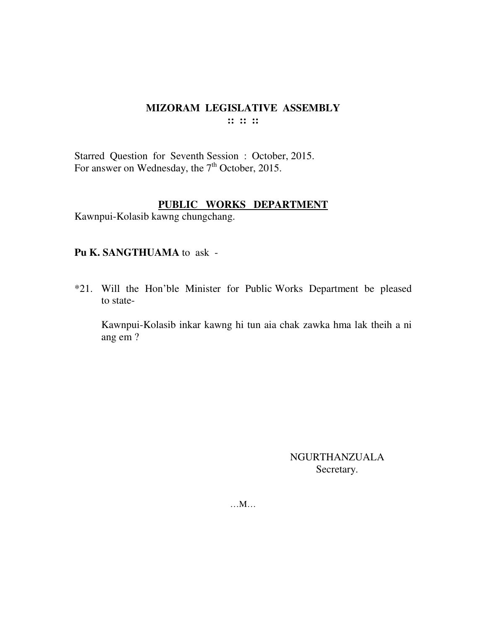Starred Question for Seventh Session : October, 2015. For answer on Wednesday, the 7<sup>th</sup> October, 2015.

## **PUBLIC WORKS DEPARTMENT**

Kawnpui-Kolasib kawng chungchang.

#### **Pu K. SANGTHUAMA** to ask -

\*21. Will the Hon'ble Minister for Public Works Department be pleased to state-

 Kawnpui-Kolasib inkar kawng hi tun aia chak zawka hma lak theih a ni ang em ?

> NGURTHANZUALA Secretary.

…M…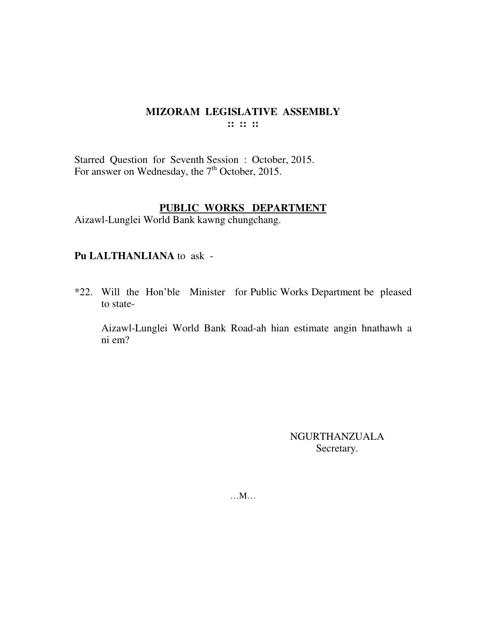$\mathbf{::} :: \mathbf{::}$ 

Starred Question for Seventh Session : October, 2015.<br>For answer on Wednesday, the 7<sup>th</sup> October, 2015.

## PUBLIC WORKS DEPARTMENT

Aizawl-Lunglei World Bank kawng chungchang.

## Pu LALTHANLIANA to ask -

\*22. Will the Hon'ble Minister for Public Works Department be pleased to state-

Aizawl-Lunglei World Bank Road-ah hian estimate angin hnathawh a ni em?

> **NGURTHANZUALA** Secretary.

 $...M...$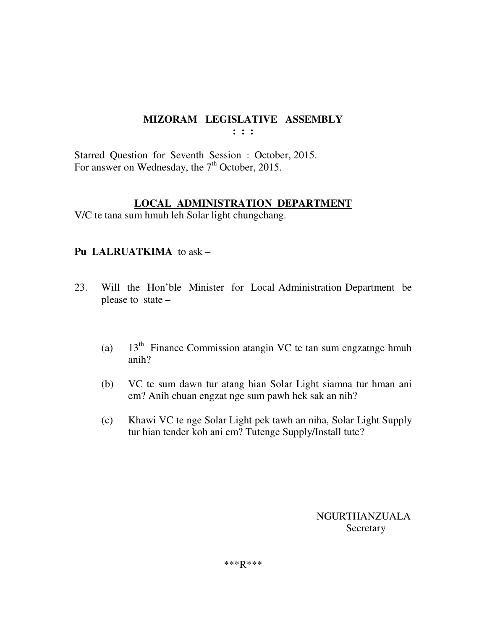**: : :** 

Starred Question for Seventh Session : October, 2015. For answer on Wednesday, the 7<sup>th</sup> October, 2015.

## **LOCAL ADMINISTRATION DEPARTMENT**

V/C te tana sum hmuh leh Solar light chungchang.

## **Pu LALRUATKIMA** to ask –

- 23. Will the Hon'ble Minister for Local Administration Department be please to state –
	- (a)  $13<sup>th</sup>$  Finance Commission atangin VC te tan sum engzatnge hmuh anih?
	- (b) VC te sum dawn tur atang hian Solar Light siamna tur hman ani em? Anih chuan engzat nge sum pawh hek sak an nih?
	- (c) Khawi VC te nge Solar Light pek tawh an niha, Solar Light Supply tur hian tender koh ani em? Tutenge Supply/Install tute?

 NGURTHANZUALA Secretary

\*\*\*R\*\*\*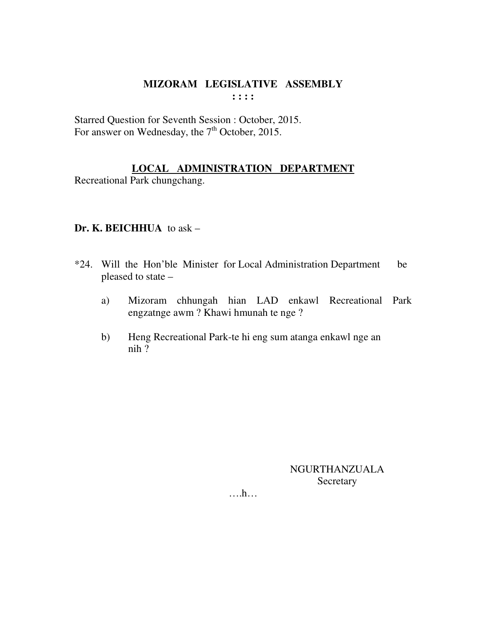Starred Question for Seventh Session : October, 2015. For answer on Wednesday, the 7<sup>th</sup> October, 2015.

## LOCAL ADMINISTRATION DEPARTMENT

Recreational Park chungchang.

## Dr. K. BEICHHUA to ask  $-$

- \*24. Will the Hon'ble Minister for Local Administration Department be pleased to state -
	- Mizoram chhungah hian LAD enkawl Recreational Park a) engzatnge awm? Khawi hmunah te nge?
	- Heng Recreational Park-te hi eng sum atanga enkawl nge an  $b)$  $nih$ ?

**NGURTHANZUALA** Secretary

 $\dots h\dots$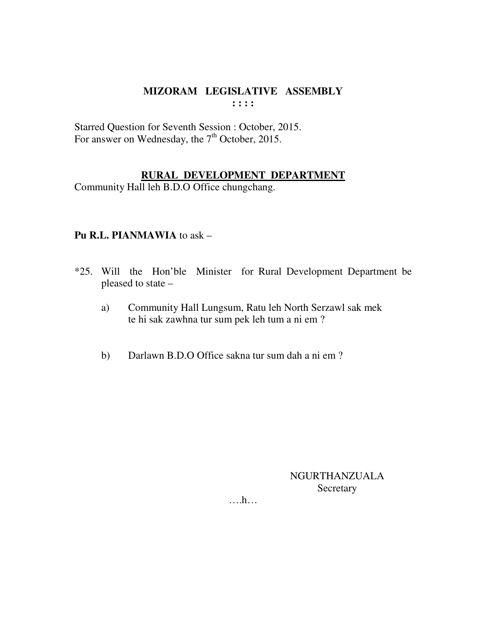Starred Question for Seventh Session : October, 2015. For answer on Wednesday, the 7<sup>th</sup> October, 2015.

## **RURAL DEVELOPMENT DEPARTMENT**

Community Hall leh B.D.O Office chungchang.

## **Pu R.L. PIANMAWIA** to ask –

- \*25. Will the Hon'ble Minister for Rural Development Department be pleased to state –
	- a) Community Hall Lungsum, Ratu leh North Serzawl sak mek te hi sak zawhna tur sum pek leh tum a ni em ?
	- b) Darlawn B.D.O Office sakna tur sum dah a ni em ?

NGURTHANZUALA Secretary

….h…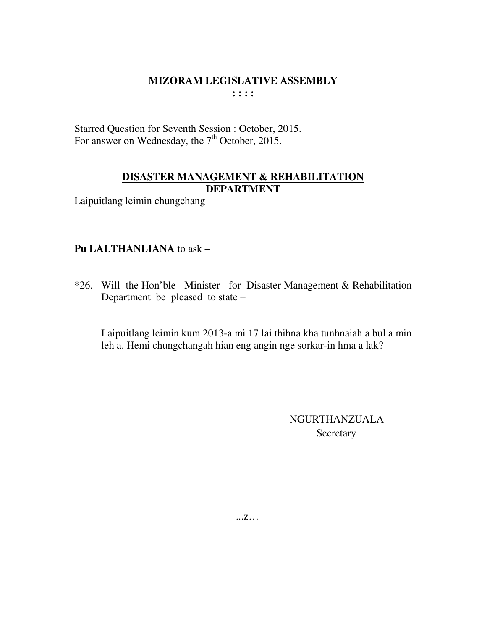Starred Question for Seventh Session : October, 2015. For answer on Wednesday, the 7<sup>th</sup> October, 2015.

## **DISASTER MANAGEMENT & REHABILITATION DEPARTMENT**

Laipuitlang leimin chungchang

## **Pu LALTHANLIANA** to ask –

\*26. Will the Hon'ble Minister for Disaster Management & Rehabilitation Department be pleased to state –

 Laipuitlang leimin kum 2013-a mi 17 lai thihna kha tunhnaiah a bul a min leh a. Hemi chungchangah hian eng angin nge sorkar-in hma a lak?

> NGURTHANZUALA **Secretary**

...z…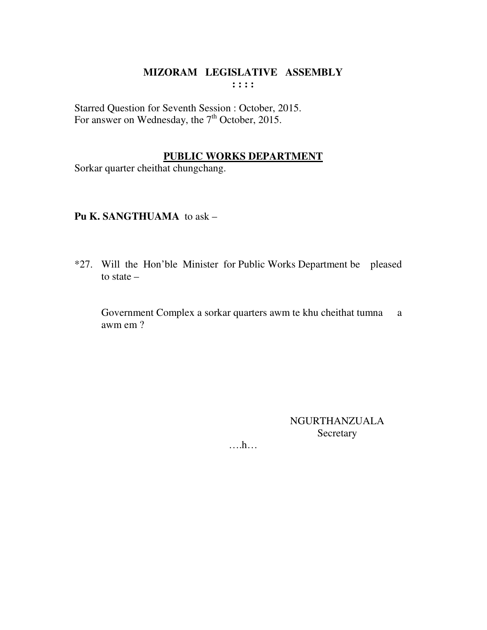Starred Question for Seventh Session : October, 2015.<br>For answer on Wednesday, the  $7<sup>th</sup>$  October, 2015.

## **PUBLIC WORKS DEPARTMENT**

Sorkar quarter cheithat chungchang.

## Pu K. SANGTHUAMA to ask -

\*27. Will the Hon'ble Minister for Public Works Department be pleased to state  $-$ 

Government Complex a sorkar quarters awm te khu cheithat tumna a awm em?

> **NGURTHANZUALA** Secretary

 $\dots$ ...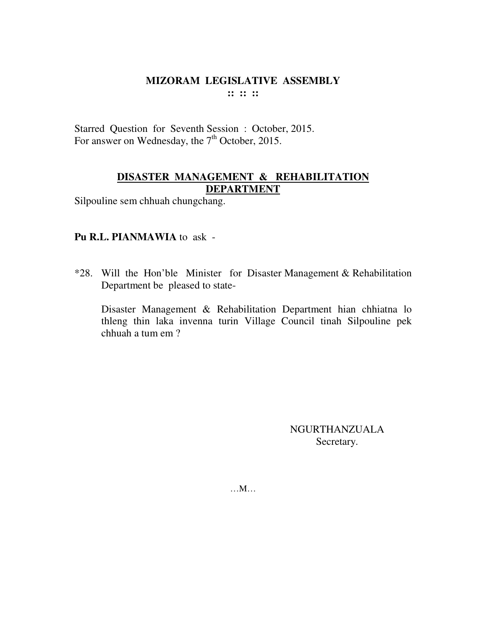Starred Question for Seventh Session : October, 2015. For answer on Wednesday, the 7<sup>th</sup> October, 2015.

## **DISASTER MANAGEMENT & REHABILITATION DEPARTMENT**

Silpouline sem chhuah chungchang.

## **Pu R.L. PIANMAWIA** to ask -

\*28. Will the Hon'ble Minister for Disaster Management & Rehabilitation Department be pleased to state-

 Disaster Management & Rehabilitation Department hian chhiatna lo thleng thin laka invenna turin Village Council tinah Silpouline pek chhuah a tum em ?

> NGURTHANZUALA Secretary.

…M…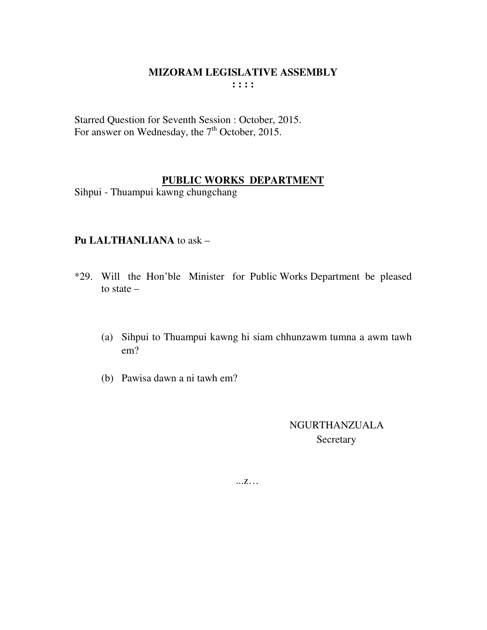Starred Question for Seventh Session : October, 2015. For answer on Wednesday, the  $7<sup>th</sup>$  October, 2015.

## **PUBLIC WORKS DEPARTMENT**

Sihpui - Thuampui kawng chungchang

## **Pu LALTHANLIANA** to ask –

- \*29. Will the Hon'ble Minister for Public Works Department be pleased to state –
	- (a) Sihpui to Thuampui kawng hi siam chhunzawm tumna a awm tawh em?
	- (b) Pawisa dawn a ni tawh em?

 NGURTHANZUALA **Secretary** 

...z…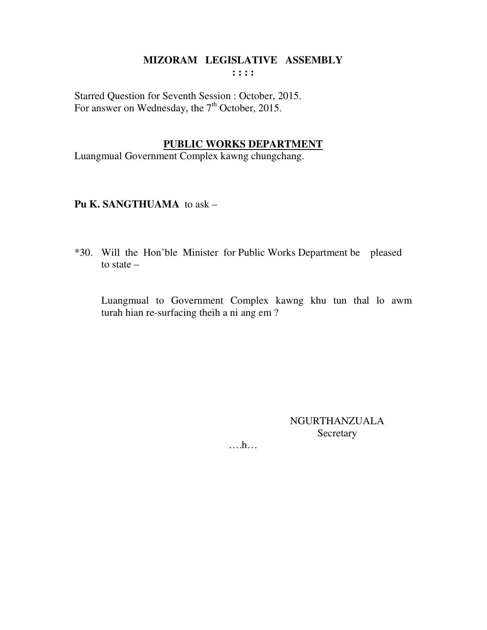**: : : :** 

Starred Question for Seventh Session : October, 2015. For answer on Wednesday, the  $7<sup>th</sup>$  October, 2015.

#### **PUBLIC WORKS DEPARTMENT**

Luangmual Government Complex kawng chungchang.

**Pu K. SANGTHUAMA** to ask –

\*30. Will the Hon'ble Minister for Public Works Department be pleased to state –

 Luangmual to Government Complex kawng khu tun thal lo awm turah hian re-surfacing theih a ni ang em ?

> NGURTHANZUALA Secretary

….h…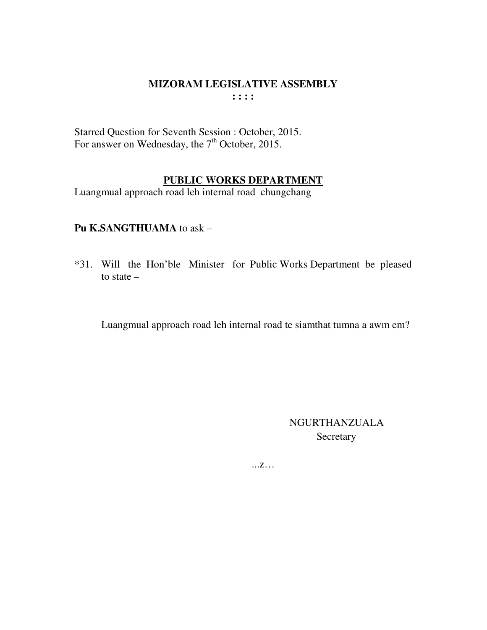Starred Question for Seventh Session : October, 2015. For answer on Wednesday, the 7<sup>th</sup> October, 2015.

## PUBLIC WORKS DEPARTMENT

Luangmual approach road leh internal road chungchang

#### Pu K.SANGTHUAMA to ask -

\*31. Will the Hon'ble Minister for Public Works Department be pleased to state  $-$ 

Luangmual approach road leh internal road te siamthat tumna a awm em?

**NGURTHANZUALA** Secretary

 $\ldots Z \ldots$